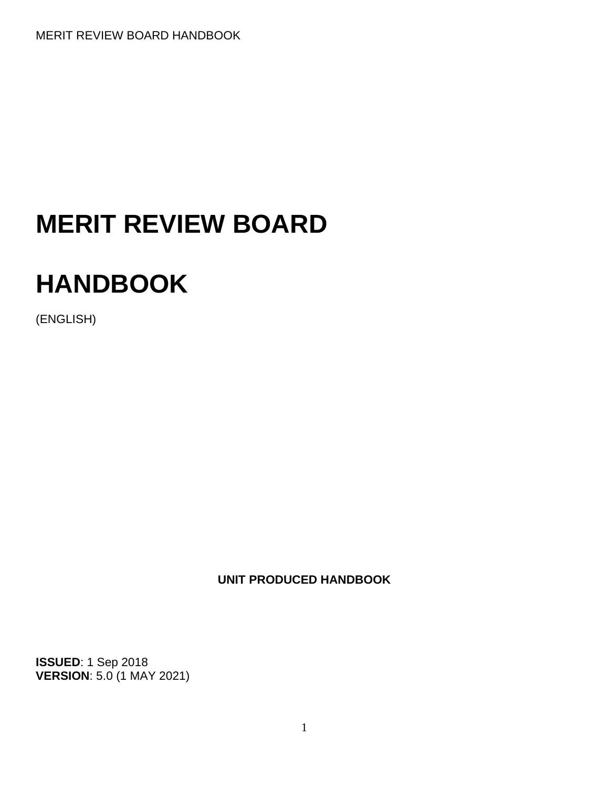# **MERIT REVIEW BOARD**

# **HANDBOOK**

(ENGLISH)

**UNIT PRODUCED HANDBOOK**

**ISSUED**: 1 Sep 2018 **VERSION**: 5.0 (1 MAY 2021)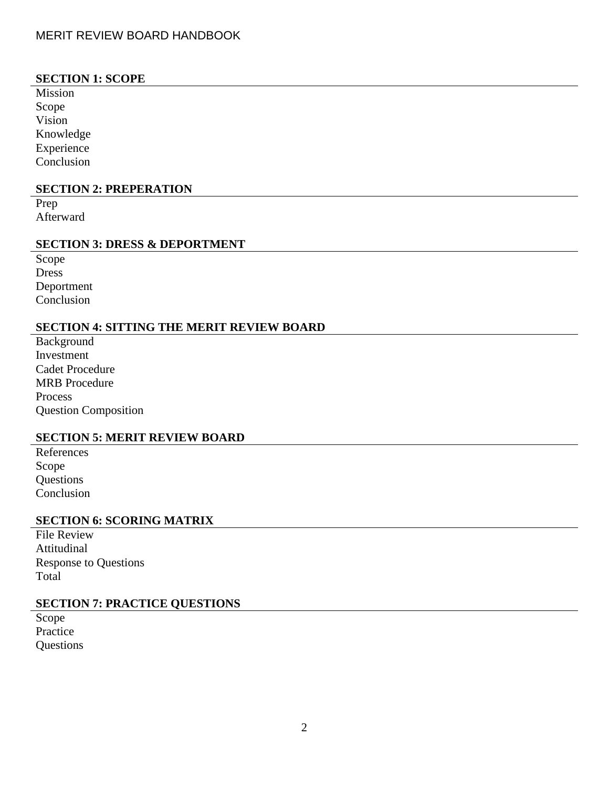# **SECTION 1: SCOPE**

Mission Scope Vision Knowledge Experience Conclusion

### **SECTION 2: PREPERATION**

Prep Afterward

### **SECTION 3: DRESS & DEPORTMENT**

Scope Dress Deportment Conclusion

# **SECTION 4: SITTING THE MERIT REVIEW BOARD**

Background Investment Cadet Procedure MRB Procedure Process Question Composition

## **SECTION 5: MERIT REVIEW BOARD**

References Scope **Questions** Conclusion

### **SECTION 6: SCORING MATRIX**

| <b>File Review</b>           |
|------------------------------|
| Attitudinal                  |
| <b>Response to Questions</b> |
| Total                        |

# **SECTION 7: PRACTICE QUESTIONS**

Scope Practice **Questions**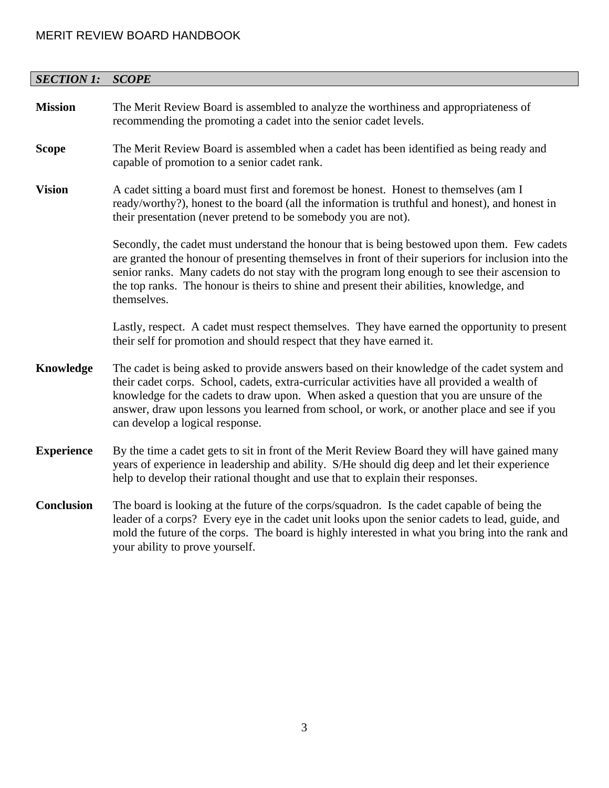| <b>SECTION 1:</b> | <b>SCOPE</b>                                                                                                                                                                                                                                                                                                                                                                                                              |  |  |  |  |  |
|-------------------|---------------------------------------------------------------------------------------------------------------------------------------------------------------------------------------------------------------------------------------------------------------------------------------------------------------------------------------------------------------------------------------------------------------------------|--|--|--|--|--|
| <b>Mission</b>    | The Merit Review Board is assembled to analyze the worthiness and appropriateness of<br>recommending the promoting a cadet into the senior cadet levels.                                                                                                                                                                                                                                                                  |  |  |  |  |  |
| <b>Scope</b>      | The Merit Review Board is assembled when a cadet has been identified as being ready and<br>capable of promotion to a senior cadet rank.                                                                                                                                                                                                                                                                                   |  |  |  |  |  |
| <b>Vision</b>     | A cadet sitting a board must first and foremost be honest. Honest to themselves (am I<br>ready/worthy?), honest to the board (all the information is truthful and honest), and honest in<br>their presentation (never pretend to be somebody you are not).                                                                                                                                                                |  |  |  |  |  |
|                   | Secondly, the cadet must understand the honour that is being bestowed upon them. Few cadets<br>are granted the honour of presenting themselves in front of their superiors for inclusion into the<br>senior ranks. Many cadets do not stay with the program long enough to see their ascension to<br>the top ranks. The honour is theirs to shine and present their abilities, knowledge, and<br>themselves.              |  |  |  |  |  |
|                   | Lastly, respect. A cadet must respect themselves. They have earned the opportunity to present<br>their self for promotion and should respect that they have earned it.                                                                                                                                                                                                                                                    |  |  |  |  |  |
| Knowledge         | The cadet is being asked to provide answers based on their knowledge of the cadet system and<br>their cadet corps. School, cadets, extra-curricular activities have all provided a wealth of<br>knowledge for the cadets to draw upon. When asked a question that you are unsure of the<br>answer, draw upon lessons you learned from school, or work, or another place and see if you<br>can develop a logical response. |  |  |  |  |  |
| <b>Experience</b> | By the time a cadet gets to sit in front of the Merit Review Board they will have gained many<br>years of experience in leadership and ability. S/He should dig deep and let their experience<br>help to develop their rational thought and use that to explain their responses.                                                                                                                                          |  |  |  |  |  |
| <b>Conclusion</b> | The board is looking at the future of the corps/squadron. Is the cadet capable of being the<br>leader of a corps? Every eye in the cadet unit looks upon the senior cadets to lead, guide, and<br>mold the future of the corps. The board is highly interested in what you bring into the rank and<br>your ability to prove yourself.                                                                                     |  |  |  |  |  |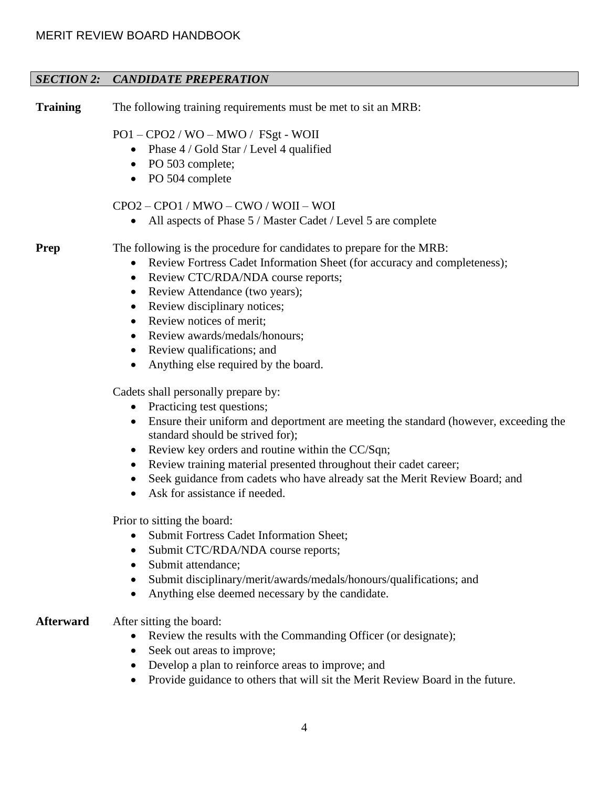# *SECTION 2: CANDIDATE PREPERATION*

**Training** The following training requirements must be met to sit an MRB:

# PO1 – CPO2 / WO – MWO / FSgt - WOII

- Phase 4 / Gold Star / Level 4 qualified
- PO 503 complete;
- PO 504 complete

# CPO2 – CPO1 / MWO – CWO / WOII – WOI

• All aspects of Phase 5 / Master Cadet / Level 5 are complete

**Prep** The following is the procedure for candidates to prepare for the MRB:

- Review Fortress Cadet Information Sheet (for accuracy and completeness);
- Review CTC/RDA/NDA course reports;
- Review Attendance (two years);
- Review disciplinary notices;
- Review notices of merit:
- Review awards/medals/honours;
- Review qualifications; and
- Anything else required by the board.

Cadets shall personally prepare by:

- Practicing test questions;
- Ensure their uniform and deportment are meeting the standard (however, exceeding the standard should be strived for);
- Review key orders and routine within the CC/Sqn;
- Review training material presented throughout their cadet career;
- Seek guidance from cadets who have already sat the Merit Review Board; and
- Ask for assistance if needed.

Prior to sitting the board:

- Submit Fortress Cadet Information Sheet;
- Submit CTC/RDA/NDA course reports;
- Submit attendance:
- Submit disciplinary/merit/awards/medals/honours/qualifications; and
- Anything else deemed necessary by the candidate.

# **Afterward** After sitting the board:

- Review the results with the Commanding Officer (or designate);
- Seek out areas to improve;
- Develop a plan to reinforce areas to improve; and
- Provide guidance to others that will sit the Merit Review Board in the future.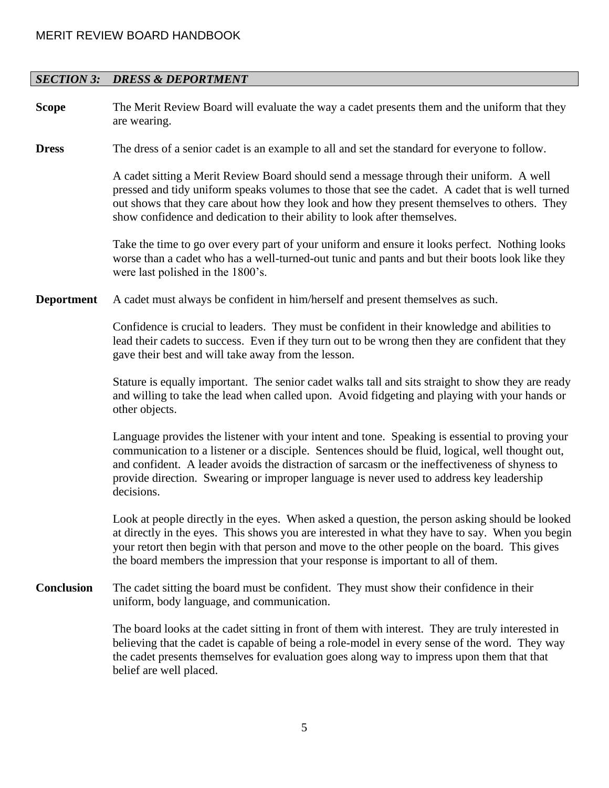## *SECTION 3: DRESS & DEPORTMENT*

**Scope** The Merit Review Board will evaluate the way a cadet presents them and the uniform that they are wearing.

**Dress** The dress of a senior cadet is an example to all and set the standard for everyone to follow.

A cadet sitting a Merit Review Board should send a message through their uniform. A well pressed and tidy uniform speaks volumes to those that see the cadet. A cadet that is well turned out shows that they care about how they look and how they present themselves to others. They show confidence and dedication to their ability to look after themselves.

Take the time to go over every part of your uniform and ensure it looks perfect. Nothing looks worse than a cadet who has a well-turned-out tunic and pants and but their boots look like they were last polished in the 1800's.

**Deportment** A cadet must always be confident in him/herself and present themselves as such.

Confidence is crucial to leaders. They must be confident in their knowledge and abilities to lead their cadets to success. Even if they turn out to be wrong then they are confident that they gave their best and will take away from the lesson.

Stature is equally important. The senior cadet walks tall and sits straight to show they are ready and willing to take the lead when called upon. Avoid fidgeting and playing with your hands or other objects.

Language provides the listener with your intent and tone. Speaking is essential to proving your communication to a listener or a disciple. Sentences should be fluid, logical, well thought out, and confident. A leader avoids the distraction of sarcasm or the ineffectiveness of shyness to provide direction. Swearing or improper language is never used to address key leadership decisions.

Look at people directly in the eyes. When asked a question, the person asking should be looked at directly in the eyes. This shows you are interested in what they have to say. When you begin your retort then begin with that person and move to the other people on the board. This gives the board members the impression that your response is important to all of them.

**Conclusion** The cadet sitting the board must be confident. They must show their confidence in their uniform, body language, and communication.

> The board looks at the cadet sitting in front of them with interest. They are truly interested in believing that the cadet is capable of being a role-model in every sense of the word. They way the cadet presents themselves for evaluation goes along way to impress upon them that that belief are well placed.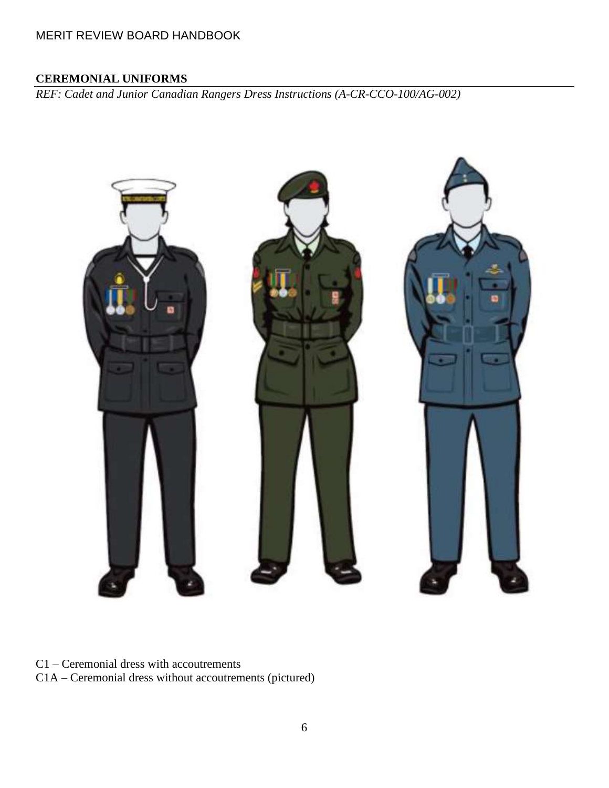# **CEREMONIAL UNIFORMS**

*REF: Cadet and Junior Canadian Rangers Dress Instructions (A-CR-CCO-100/AG-002)*



C1 – Ceremonial dress with accoutrements

C1A – Ceremonial dress without accoutrements (pictured)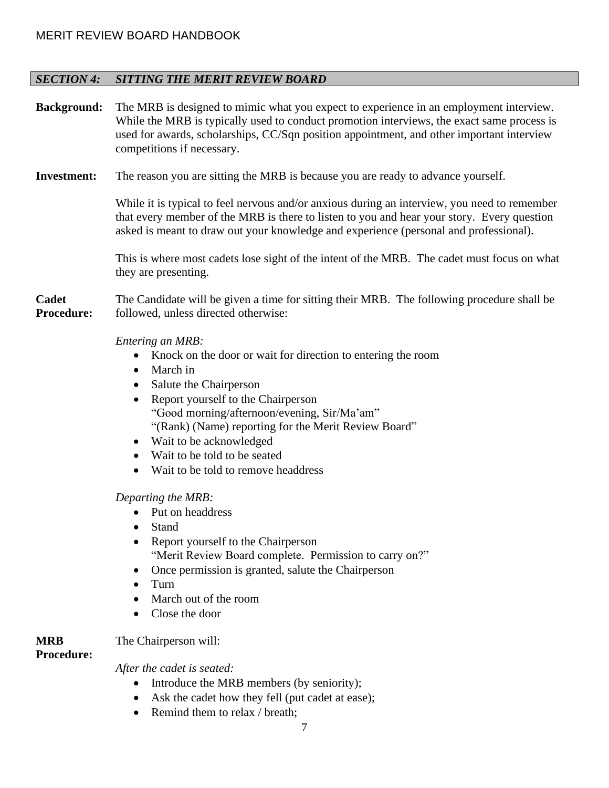# *SECTION 4: SITTING THE MERIT REVIEW BOARD*

| <b>Background:</b>         | The MRB is designed to mimic what you expect to experience in an employment interview.<br>While the MRB is typically used to conduct promotion interviews, the exact same process is<br>used for awards, scholarships, CC/Sqn position appointment, and other important interview<br>competitions if necessary.                                                                    |  |  |  |  |  |  |
|----------------------------|------------------------------------------------------------------------------------------------------------------------------------------------------------------------------------------------------------------------------------------------------------------------------------------------------------------------------------------------------------------------------------|--|--|--|--|--|--|
| <b>Investment:</b>         | The reason you are sitting the MRB is because you are ready to advance yourself.                                                                                                                                                                                                                                                                                                   |  |  |  |  |  |  |
|                            | While it is typical to feel nervous and/or anxious during an interview, you need to remember<br>that every member of the MRB is there to listen to you and hear your story. Every question<br>asked is meant to draw out your knowledge and experience (personal and professional).                                                                                                |  |  |  |  |  |  |
|                            | This is where most cadets lose sight of the intent of the MRB. The cadet must focus on what<br>they are presenting.                                                                                                                                                                                                                                                                |  |  |  |  |  |  |
| Cadet<br><b>Procedure:</b> | The Candidate will be given a time for sitting their MRB. The following procedure shall be<br>followed, unless directed otherwise:                                                                                                                                                                                                                                                 |  |  |  |  |  |  |
|                            | Entering an MRB:<br>Knock on the door or wait for direction to entering the room<br>March in<br>$\bullet$<br>Salute the Chairperson<br>Report yourself to the Chairperson<br>"Good morning/afternoon/evening, Sir/Ma'am"<br>"(Rank) (Name) reporting for the Merit Review Board"<br>Wait to be acknowledged<br>Wait to be told to be seated<br>Wait to be told to remove headdress |  |  |  |  |  |  |
|                            | Departing the MRB:<br>Put on headdress<br>Stand<br>Report yourself to the Chairperson<br>$\bullet$<br>"Merit Review Board complete. Permission to carry on?"<br>Once permission is granted, salute the Chairperson<br>Turn<br>March out of the room<br>Close the door                                                                                                              |  |  |  |  |  |  |

**MRB**  The Chairperson will:

**Procedure:**

*After the cadet is seated:*

- Introduce the MRB members (by seniority);
- Ask the cadet how they fell (put cadet at ease);
- Remind them to relax / breath;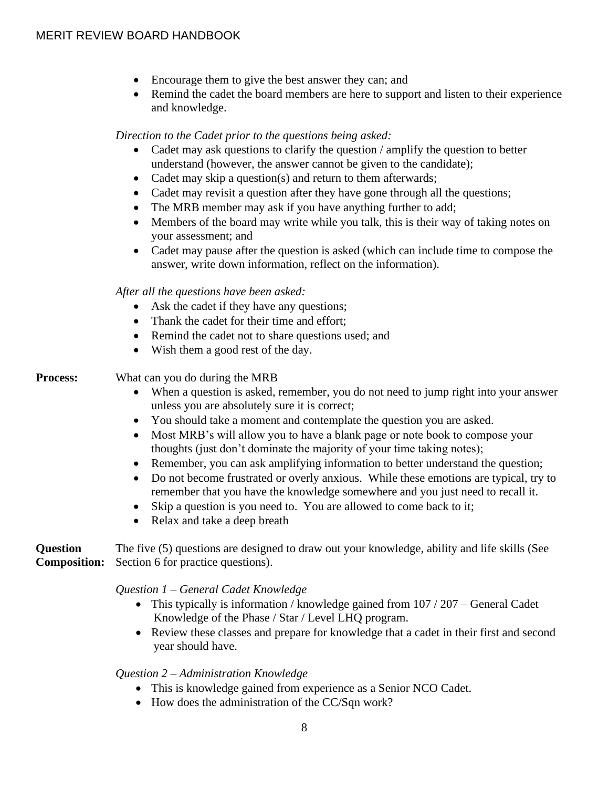- Encourage them to give the best answer they can; and
- Remind the cadet the board members are here to support and listen to their experience and knowledge.

*Direction to the Cadet prior to the questions being asked:* 

- Cadet may ask questions to clarify the question / amplify the question to better understand (however, the answer cannot be given to the candidate);
- Cadet may skip a question(s) and return to them afterwards;
- Cadet may revisit a question after they have gone through all the questions;
- The MRB member may ask if you have anything further to add;
- Members of the board may write while you talk, this is their way of taking notes on your assessment; and
- Cadet may pause after the question is asked (which can include time to compose the answer, write down information, reflect on the information).

# *After all the questions have been asked:*

- Ask the cadet if they have any questions;
- Thank the cadet for their time and effort:
- Remind the cadet not to share questions used; and
- Wish them a good rest of the day.

# **Process:** What can you do during the MRB

- When a question is asked, remember, you do not need to jump right into your answer unless you are absolutely sure it is correct;
- You should take a moment and contemplate the question you are asked.
- Most MRB's will allow you to have a blank page or note book to compose your thoughts (just don't dominate the majority of your time taking notes);
- Remember, you can ask amplifying information to better understand the question;
- Do not become frustrated or overly anxious. While these emotions are typical, try to remember that you have the knowledge somewhere and you just need to recall it.
- Skip a question is you need to. You are allowed to come back to it;
- Relax and take a deep breath

#### **Question Composition:** Section 6 for practice questions). The five (5) questions are designed to draw out your knowledge, ability and life skills (See

# *Question 1 – General Cadet Knowledge*

- This typically is information / knowledge gained from 107 / 207 General Cadet Knowledge of the Phase / Star / Level LHQ program.
- Review these classes and prepare for knowledge that a cadet in their first and second year should have.

# *Question 2 – Administration Knowledge*

- This is knowledge gained from experience as a Senior NCO Cadet.
- How does the administration of the CC/Sqn work?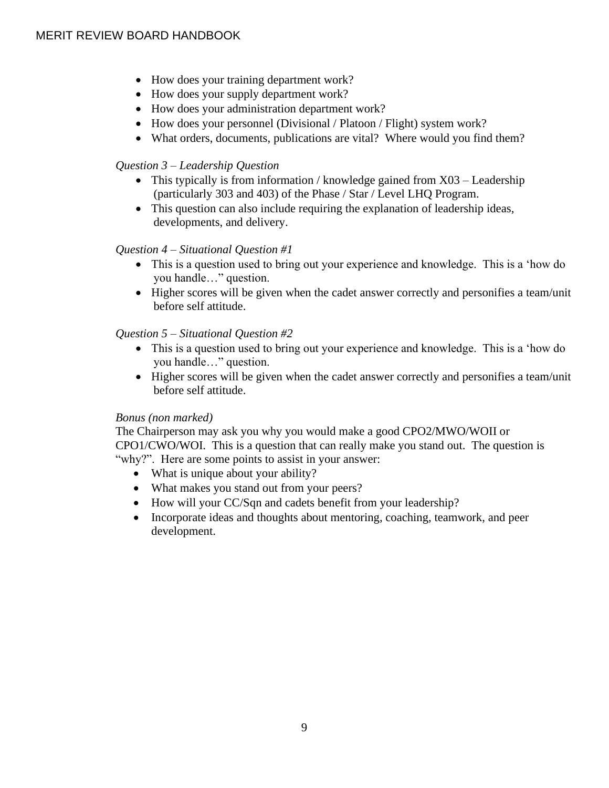- How does your training department work?
- How does your supply department work?
- How does your administration department work?
- How does your personnel (Divisional / Platoon / Flight) system work?
- What orders, documents, publications are vital? Where would you find them?

# *Question 3 – Leadership Question*

- This typically is from information / knowledge gained from X03 Leadership (particularly 303 and 403) of the Phase / Star / Level LHQ Program.
- This question can also include requiring the explanation of leadership ideas, developments, and delivery.

# *Question 4 – Situational Question #1*

- This is a question used to bring out your experience and knowledge. This is a 'how do you handle…" question.
- Higher scores will be given when the cadet answer correctly and personifies a team/unit before self attitude.

# *Question 5 – Situational Question #2*

- This is a question used to bring out your experience and knowledge. This is a 'how do you handle…" question.
- Higher scores will be given when the cadet answer correctly and personifies a team/unit before self attitude.

# *Bonus (non marked)*

The Chairperson may ask you why you would make a good CPO2/MWO/WOII or CPO1/CWO/WOI. This is a question that can really make you stand out. The question is "why?". Here are some points to assist in your answer:

- What is unique about your ability?
- What makes you stand out from your peers?
- How will your CC/Sqn and cadets benefit from your leadership?
- Incorporate ideas and thoughts about mentoring, coaching, teamwork, and peer development.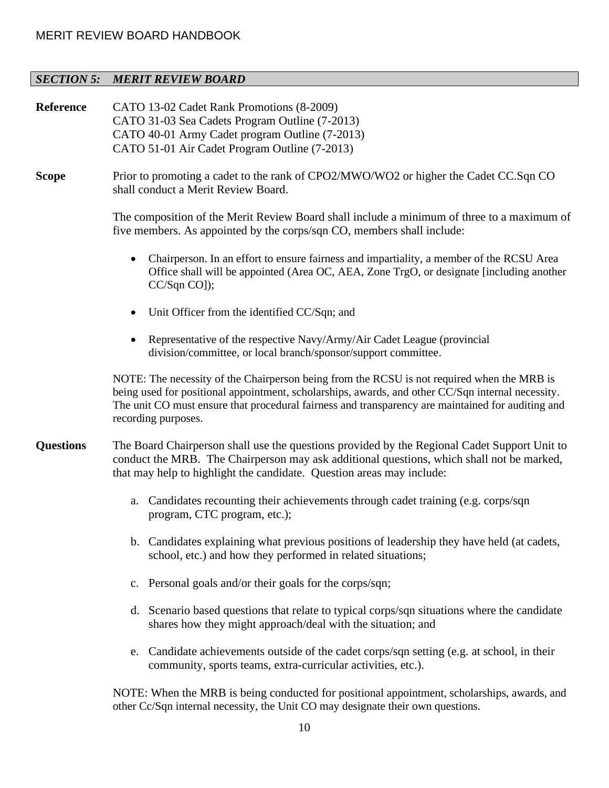# *SECTION 5: MERIT REVIEW BOARD*

| Reference        | CATO 13-02 Cadet Rank Promotions (8-2009)<br>CATO 31-03 Sea Cadets Program Outline (7-2013)<br>CATO 40-01 Army Cadet program Outline (7-2013)<br>CATO 51-01 Air Cadet Program Outline (7-2013)                                                                                                                              |  |  |  |  |  |  |
|------------------|-----------------------------------------------------------------------------------------------------------------------------------------------------------------------------------------------------------------------------------------------------------------------------------------------------------------------------|--|--|--|--|--|--|
| <b>Scope</b>     | Prior to promoting a cadet to the rank of CPO2/MWO/WO2 or higher the Cadet CC.Sqn CO<br>shall conduct a Merit Review Board.                                                                                                                                                                                                 |  |  |  |  |  |  |
|                  | The composition of the Merit Review Board shall include a minimum of three to a maximum of<br>five members. As appointed by the corps/sqn CO, members shall include:                                                                                                                                                        |  |  |  |  |  |  |
|                  | Chairperson. In an effort to ensure fairness and impartiality, a member of the RCSU Area<br>Office shall will be appointed (Area OC, AEA, Zone TrgO, or designate [including another<br>$CC/Sqn CO$ ]);                                                                                                                     |  |  |  |  |  |  |
|                  | Unit Officer from the identified CC/Sqn; and<br>$\bullet$                                                                                                                                                                                                                                                                   |  |  |  |  |  |  |
|                  | Representative of the respective Navy/Army/Air Cadet League (provincial<br>division/committee, or local branch/sponsor/support committee.                                                                                                                                                                                   |  |  |  |  |  |  |
|                  | NOTE: The necessity of the Chairperson being from the RCSU is not required when the MRB is<br>being used for positional appointment, scholarships, awards, and other CC/Sqn internal necessity.<br>The unit CO must ensure that procedural fairness and transparency are maintained for auditing and<br>recording purposes. |  |  |  |  |  |  |
| <b>Questions</b> | The Board Chairperson shall use the questions provided by the Regional Cadet Support Unit to<br>conduct the MRB. The Chairperson may ask additional questions, which shall not be marked,<br>that may help to highlight the candidate. Question areas may include:                                                          |  |  |  |  |  |  |
|                  | Candidates recounting their achievements through cadet training (e.g. corps/sqn<br>a.<br>program, CTC program, etc.);                                                                                                                                                                                                       |  |  |  |  |  |  |
|                  | b. Candidates explaining what previous positions of leadership they have held (at cadets,<br>school, etc.) and how they performed in related situations;                                                                                                                                                                    |  |  |  |  |  |  |
|                  | c. Personal goals and/or their goals for the corps/sqn;                                                                                                                                                                                                                                                                     |  |  |  |  |  |  |
|                  | d. Scenario based questions that relate to typical corps/sqn situations where the candidate<br>shares how they might approach/deal with the situation; and                                                                                                                                                                  |  |  |  |  |  |  |
|                  | Candidate achievements outside of the cadet corps/sqn setting (e.g. at school, in their<br>e.<br>community, sports teams, extra-curricular activities, etc.).                                                                                                                                                               |  |  |  |  |  |  |
|                  | NOTE: When the MRB is being conducted for positional appointment, scholarships, awards, and<br>other Cc/Sqn internal necessity, the Unit CO may designate their own questions.                                                                                                                                              |  |  |  |  |  |  |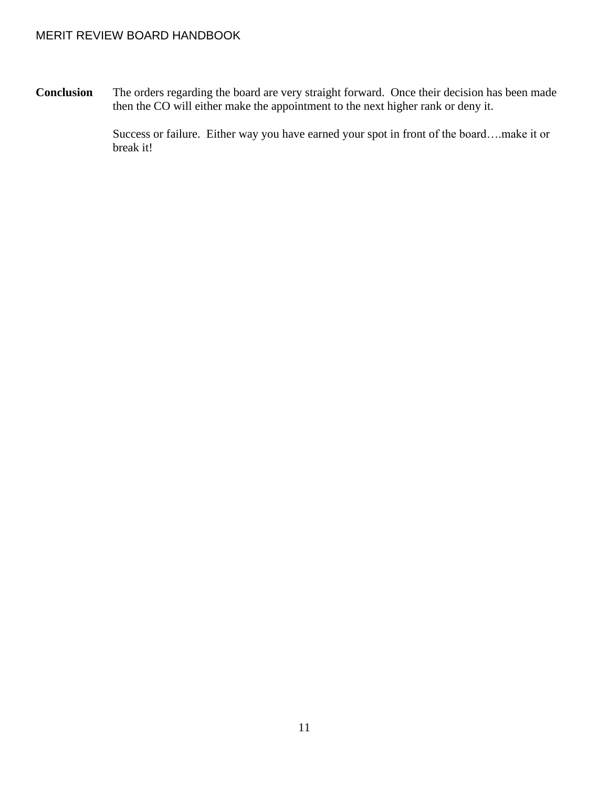**Conclusion** The orders regarding the board are very straight forward. Once their decision has been made then the CO will either make the appointment to the next higher rank or deny it.

> Success or failure. Either way you have earned your spot in front of the board….make it or break it!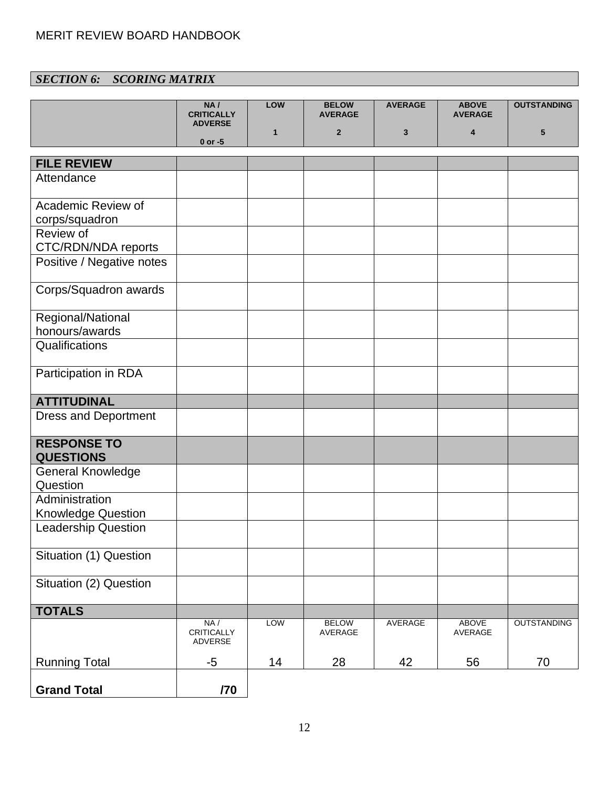# *SECTION 6: SCORING MATRIX*

|                                             | NA/<br><b>CRITICALLY</b>      | LOW          | <b>BELOW</b><br><b>AVERAGE</b> | <b>AVERAGE</b> | <b>ABOVE</b><br><b>AVERAGE</b> | <b>OUTSTANDING</b> |
|---------------------------------------------|-------------------------------|--------------|--------------------------------|----------------|--------------------------------|--------------------|
|                                             | <b>ADVERSE</b><br>$0$ or $-5$ | $\mathbf{1}$ | $\overline{2}$                 | 3              | 4                              | 5                  |
| <b>FILE REVIEW</b>                          |                               |              |                                |                |                                |                    |
| Attendance                                  |                               |              |                                |                |                                |                    |
| Academic Review of<br>corps/squadron        |                               |              |                                |                |                                |                    |
| Review of<br>CTC/RDN/NDA reports            |                               |              |                                |                |                                |                    |
| Positive / Negative notes                   |                               |              |                                |                |                                |                    |
| Corps/Squadron awards                       |                               |              |                                |                |                                |                    |
| Regional/National<br>honours/awards         |                               |              |                                |                |                                |                    |
| Qualifications                              |                               |              |                                |                |                                |                    |
| Participation in RDA                        |                               |              |                                |                |                                |                    |
| <b>ATTITUDINAL</b>                          |                               |              |                                |                |                                |                    |
| <b>Dress and Deportment</b>                 |                               |              |                                |                |                                |                    |
| <b>RESPONSE TO</b><br><b>QUESTIONS</b>      |                               |              |                                |                |                                |                    |
| <b>General Knowledge</b><br>Question        |                               |              |                                |                |                                |                    |
| Administration<br><b>Knowledge Question</b> |                               |              |                                |                |                                |                    |
| <b>Leadership Question</b>                  |                               |              |                                |                |                                |                    |
| Situation (1) Question                      |                               |              |                                |                |                                |                    |
| Situation (2) Question                      |                               |              |                                |                |                                |                    |
| <b>TOTALS</b>                               |                               |              |                                |                |                                |                    |
|                                             | NA/<br>CRITICALLY<br>ADVERSE  | <b>LOW</b>   | <b>BELOW</b><br>AVERAGE        | AVERAGE        | <b>ABOVE</b><br>AVERAGE        | <b>OUTSTANDING</b> |
| <b>Running Total</b>                        | $-5$                          | 14           | 28                             | 42             | 56                             | 70                 |
| <b>Grand Total</b>                          | /70                           |              |                                |                |                                |                    |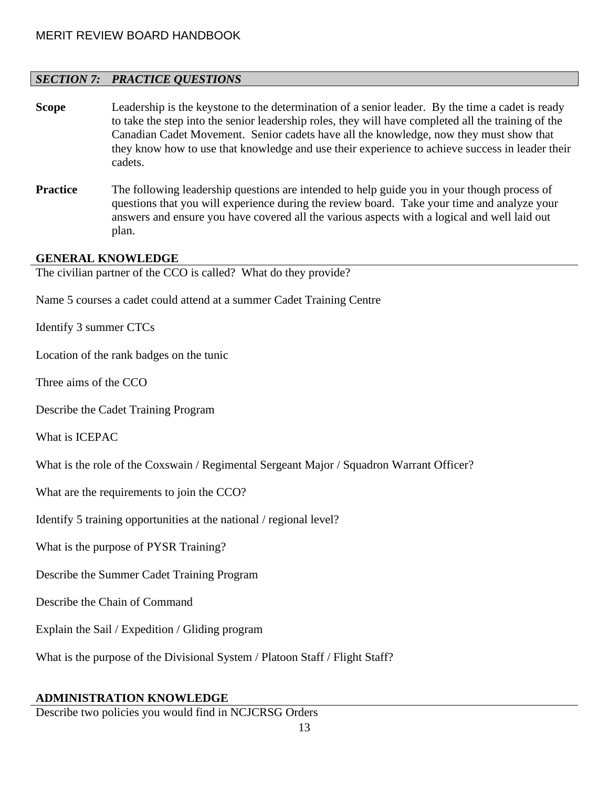# *SECTION 7: PRACTICE QUESTIONS*

- **Scope** Leadership is the keystone to the determination of a senior leader. By the time a cadet is ready to take the step into the senior leadership roles, they will have completed all the training of the Canadian Cadet Movement. Senior cadets have all the knowledge, now they must show that they know how to use that knowledge and use their experience to achieve success in leader their cadets.
- **Practice** The following leadership questions are intended to help guide you in your though process of questions that you will experience during the review board. Take your time and analyze your answers and ensure you have covered all the various aspects with a logical and well laid out plan.

# **GENERAL KNOWLEDGE**

The civilian partner of the CCO is called? What do they provide?

Name 5 courses a cadet could attend at a summer Cadet Training Centre

Identify 3 summer CTCs

Location of the rank badges on the tunic

Three aims of the CCO

Describe the Cadet Training Program

What is ICEPAC

What is the role of the Coxswain / Regimental Sergeant Major / Squadron Warrant Officer?

What are the requirements to join the CCO?

Identify 5 training opportunities at the national / regional level?

What is the purpose of PYSR Training?

Describe the Summer Cadet Training Program

Describe the Chain of Command

Explain the Sail / Expedition / Gliding program

What is the purpose of the Divisional System / Platoon Staff / Flight Staff?

# **ADMINISTRATION KNOWLEDGE**

Describe two policies you would find in NCJCRSG Orders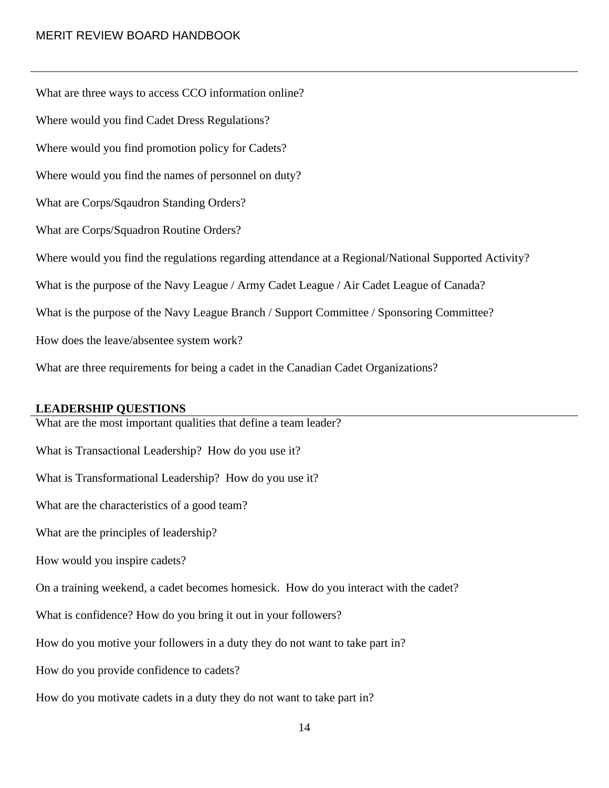What are three ways to access CCO information online? Where would you find Cadet Dress Regulations? Where would you find promotion policy for Cadets? Where would you find the names of personnel on duty? What are Corps/Sqaudron Standing Orders? What are Corps/Squadron Routine Orders? Where would you find the regulations regarding attendance at a Regional/National Supported Activity? What is the purpose of the Navy League / Army Cadet League / Air Cadet League of Canada? What is the purpose of the Navy League Branch / Support Committee / Sponsoring Committee? How does the leave/absentee system work? What are three requirements for being a cadet in the Canadian Cadet Organizations?

# **LEADERSHIP QUESTIONS**

What are the most important qualities that define a team leader? What is Transactional Leadership? How do you use it? What is Transformational Leadership? How do you use it? What are the characteristics of a good team? What are the principles of leadership? How would you inspire cadets? On a training weekend, a cadet becomes homesick. How do you interact with the cadet? What is confidence? How do you bring it out in your followers? How do you motive your followers in a duty they do not want to take part in? How do you provide confidence to cadets? How do you motivate cadets in a duty they do not want to take part in?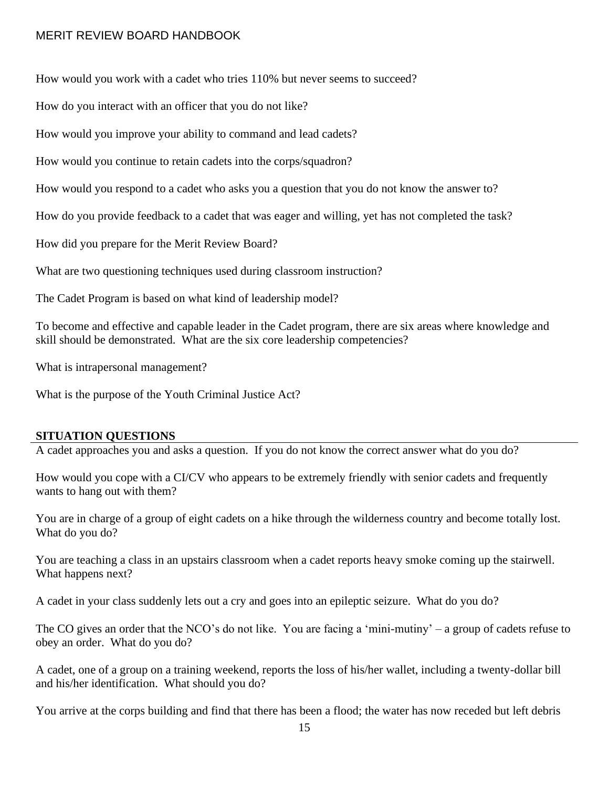How would you work with a cadet who tries 110% but never seems to succeed?

How do you interact with an officer that you do not like?

How would you improve your ability to command and lead cadets?

How would you continue to retain cadets into the corps/squadron?

How would you respond to a cadet who asks you a question that you do not know the answer to?

How do you provide feedback to a cadet that was eager and willing, yet has not completed the task?

How did you prepare for the Merit Review Board?

What are two questioning techniques used during classroom instruction?

The Cadet Program is based on what kind of leadership model?

To become and effective and capable leader in the Cadet program, there are six areas where knowledge and skill should be demonstrated. What are the six core leadership competencies?

What is intrapersonal management?

What is the purpose of the Youth Criminal Justice Act?

# **SITUATION QUESTIONS**

A cadet approaches you and asks a question. If you do not know the correct answer what do you do?

How would you cope with a CI/CV who appears to be extremely friendly with senior cadets and frequently wants to hang out with them?

You are in charge of a group of eight cadets on a hike through the wilderness country and become totally lost. What do you do?

You are teaching a class in an upstairs classroom when a cadet reports heavy smoke coming up the stairwell. What happens next?

A cadet in your class suddenly lets out a cry and goes into an epileptic seizure. What do you do?

The CO gives an order that the NCO's do not like. You are facing a 'mini-mutiny' – a group of cadets refuse to obey an order. What do you do?

A cadet, one of a group on a training weekend, reports the loss of his/her wallet, including a twenty-dollar bill and his/her identification. What should you do?

You arrive at the corps building and find that there has been a flood; the water has now receded but left debris